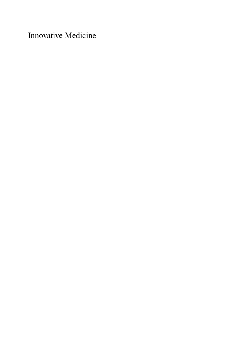Innovative Medicine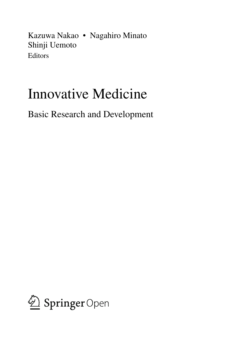Kazuwa Nakao • Nagahiro Minato Shinji Uemoto Editors

## Innovative Medicine

Basic Research and Development

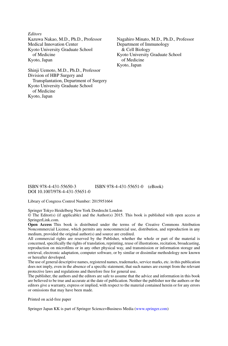*Editors*  Kazuwa Nakao , M.D., Ph.D., Professor Medical Innovation Center Kyoto University Graduate School of Medicine Kvoto, Japan

Shinii Uemoto, M.D., Ph.D., Professor Division of HBP Surgery and Transplantation, Department of Surgery Kyoto University Graduate School of Medicine Kyoto, Japan

Nagahiro Minato, M.D., Ph.D., Professor Department of Immunology & Cell Biology Kyoto University Graduate School of Medicine Kyoto, Japan

 ISBN 978-4-431-55650-3 ISBN 978-4-431-55651-0 (eBook) DOI 10.1007/978-4-431-55651-0

Library of Congress Control Number: 2015951664

Springer Tokyo Heidelberg New York Dordrecht London

 © The Editor(s) (if applicable) and the Author(s) 2015 . This book is published with open access at SpringerLink.com.

**Open Access** This book is distributed under the terms of the Creative Commons Attribution Noncommercial License, which permits any noncommercial use, distribution, and reproduction in any medium, provided the original author(s) and source are credited.

 All commercial rights are reserved by the Publisher, whether the whole or part of the material is concerned, specifically the rights of translation, reprinting, reuse of illustrations, recitation, broadcasting, reproduction on microfilms or in any other physical way, and transmission or information storage and retrieval, electronic adaptation, computer software, or by similar or dissimilar methodology now known or hereafter developed.

 The use of general descriptive names, registered names, trademarks, service marks, etc. in this publication does not imply, even in the absence of a specific statement, that such names are exempt from the relevant protective laws and regulations and therefore free for general use.

 The publisher, the authors and the editors are safe to assume that the advice and information in this book are believed to be true and accurate at the date of publication. Neither the publisher nor the authors or the editors give a warranty, express or implied, with respect to the material contained herein or for any errors or omissions that may have been made.

Printed on acid-free paper

Springer Japan KK is part of Springer Science+Business Media [\(www.springer.com](www.springer.com))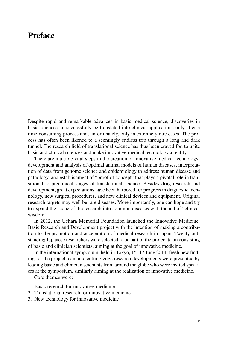## Preface

 Despite rapid and remarkable advances in basic medical science, discoveries in basic science can successfully be translated into clinical applications only after a time-consuming process and, unfortunately, only in extremely rare cases. The process has often been likened to a seemingly endless trip through a long and dark tunnel. The research field of translational science has thus been craved for, to unite basic and clinical sciences and make innovative medical technology a reality.

 There are multiple vital steps in the creation of innovative medical technology: development and analysis of optimal animal models of human diseases, interpretation of data from genome science and epidemiology to address human disease and pathology, and establishment of "proof of concept" that plays a pivotal role in transitional to preclinical stages of translational science. Besides drug research and development, great expectations have been harbored for progress in diagnostic technology, new surgical procedures, and new clinical devices and equipment. Original research targets may well be rare diseases. More importantly, one can hope and try to expand the scope of the research into common diseases with the aid of "clinical wisdom"

 In 2012, the Uehara Memorial Foundation launched the Innovative Medicine: Basic Research and Development project with the intention of making a contribution to the promotion and acceleration of medical research in Japan. Twenty outstanding Japanese researchers were selected to be part of the project team consisting of basic and clinician scientists, aiming at the goal of innovative medicine.

In the international symposium, held in Tokyo, 15–17 June 2014, fresh new findings of the project team and cutting-edge research developments were presented by leading basic and clinician scientists from around the globe who were invited speakers at the symposium, similarly aiming at the realization of innovative medicine.

Core themes were:

- 1. Basic research for innovative medicine
- 2. Translational research for innovative medicine
- 3. New technology for innovative medicine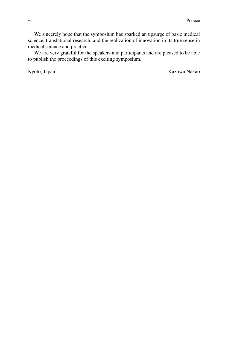We sincerely hope that the symposium has sparked an upsurge of basic medical science, translational research, and the realization of innovation in its true sense in medical science and practice.

 We are very grateful for the speakers and participants and are pleased to be able to publish the proceedings of this exciting symposium.

Kyoto, Japan Kazuwa Nakao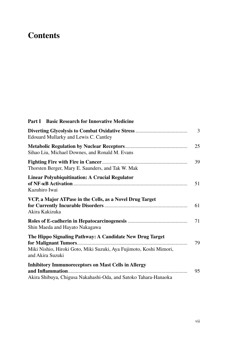## **Contents**

| <b>Part I</b> Basic Research for Innovative Medicine                                                                                               |    |
|----------------------------------------------------------------------------------------------------------------------------------------------------|----|
| Edouard Mullarky and Lewis C. Cantley                                                                                                              | 3  |
| Sihao Liu, Michael Downes, and Ronald M. Evans                                                                                                     | 25 |
| Thorsten Berger, Mary E. Saunders, and Tak W. Mak                                                                                                  | 39 |
| <b>Linear Polyubiquitination: A Crucial Regulator</b><br>Kazuhiro Iwai                                                                             | 51 |
| VCP, a Major ATPase in the Cells, as a Novel Drug Target<br>Akira Kakizuka                                                                         | 61 |
| Shin Maeda and Hayato Nakagawa                                                                                                                     | 71 |
| The Hippo Signaling Pathway: A Candidate New Drug Target<br>Miki Nishio, Hiroki Goto, Miki Suzuki, Aya Fujimoto, Koshi Mimori,<br>and Akira Suzuki | 79 |
| <b>Inhibitory Immunoreceptors on Mast Cells in Allergy</b><br>Akira Shibuya, Chigusa Nakahashi-Oda, and Satoko Tahara-Hanaoka                      | 95 |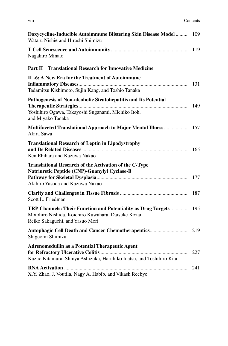| Doxycycline-Inducible Autoimmune Blistering Skin Disease Model<br>Wataru Nishie and Hiroshi Shimizu                                                     | 109 |
|---------------------------------------------------------------------------------------------------------------------------------------------------------|-----|
| Nagahiro Minato                                                                                                                                         | 119 |
| <b>Translational Research for Innovative Medicine</b><br>Part II                                                                                        |     |
| IL-6: A New Era for the Treatment of Autoimmune<br>Tadamitsu Kishimoto, Sujin Kang, and Toshio Tanaka                                                   | 131 |
| Pathogenesis of Non-alcoholic Steatohepatitis and Its Potential<br>Yoshihiro Ogawa, Takayoshi Suganami, Michiko Itoh,<br>and Miyako Tanaka              | 149 |
| Multifaceted Translational Approach to Major Mental Illness<br>Akira Sawa                                                                               | 157 |
| <b>Translational Research of Leptin in Lipodystrophy</b><br>Ken Ebihara and Kazuwa Nakao                                                                | 165 |
| <b>Translational Research of the Activation of the C-Type</b><br>Natriuretic Peptide (CNP)-Guanylyl Cyclase-B<br>Akihiro Yasoda and Kazuwa Nakao        | 177 |
| Scott L. Friedman                                                                                                                                       | 187 |
| TRP Channels: Their Function and Potentiality as Drug Targets<br>Motohiro Nishida, Koichiro Kuwahara, Daisuke Kozai,<br>Reiko Sakaguchi, and Yasuo Mori | 195 |
| Autophagic Cell Death and Cancer Chemotherapeutics<br>Shigeomi Shimizu                                                                                  | 219 |
| <b>Adrenomedullin as a Potential Therapeutic Agent</b><br>Kazuo Kitamura, Shinya Ashizuka, Haruhiko Inatsu, and Toshihiro Kita                          | 227 |
| X.Y. Zhao, J. Voutila, Nagy A. Habib, and Vikash Reebye                                                                                                 | 241 |